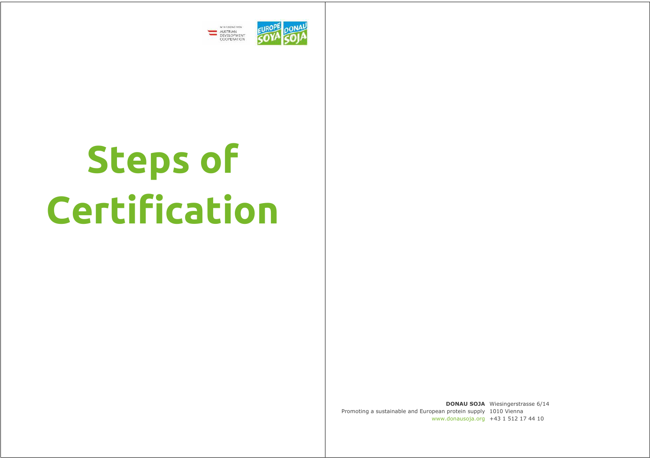

# **Steps of Certification**

**DONAU SOJA**  Wiesingerstrasse 6/14 Promoting a sustainable and European protein supply 1010 Vienna www.donausoja.org +43 1 512 17 44 10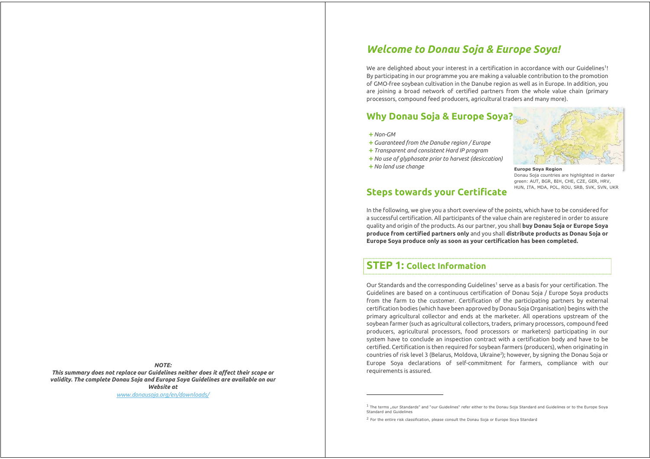# *Welcome to Donau Soja & Europe Soya!*

We are delighted about your interest in a certification in accordance with our Guidelines<sup>1</sup>! By participating in our programme you are making a valuable contribution to the promotion of GMO-free soybean cultivation in the Danube region as well as in Europe. In addition, you are joining a broad network of certified partners from the whole value chain (primary processors, compound feed producers, agricultural traders and many more).

# **Why Donau Soja & Europe Soya?**

**+***Non-GM* 

l,

- **+***Guaranteed from the Danube region / Europe*
- **+***Transparent and consistent Hard IP program*
- **+***No use of glyphosate prior to harvest (desiccation)*
- **+***No land use change*



**Europe Soya Region**  Donau Soja countries are highlighted in darker green: AUT, BGR, BIH, CHE, CZE, GER, HRV, HUN, ITA, MDA, POL, ROU, SRB, SVK, SVN, UKR

# **Steps towards your Certificate**

In the following, we give you a short overview of the points, which have to be considered for a successful certification. All participants of the value chain are registered in order to assure quality and origin of the products. As our partner, you shall **buy Donau Soja or Europe Soya produce from certified partners only** and you shall **distribute products as Donau Soja or Europe Soya produce only as soon as your certification has been completed.** 

# **STEP 1: Collect Information**

Our Standards and the corresponding Guidelines<sup>1</sup> serve as a basis for your certification. The Guidelines are based on a continuous certification of Donau Soja / Europe Soya products from the farm to the customer. Certification of the participating partners by external certification bodies (which have been approved by Donau Soja Organisation) begins with the primary agricultural collector and ends at the marketer. All operations upstream of the soybean farmer (such as agricultural collectors, traders, primary processors, compound feed producers, agricultural processors, food processors or marketers) participating in our system have to conclude an inspection contract with a certification body and have to be certified. Certification is then required for soybean farmers (producers), when originating in countries of risk level 3 (Belarus, Moldova, Ukraine<sup>2</sup>); however, by signing the Donau Soja or Europe Soya declarations of self-commitment for farmers, compliance with our requirements is assured.

*NOTE: This summary does not replace our Guidelines neither does it affect their scope or validity. The complete Donau Soja and Europa Soya Guidelines are available on our Website at* 

*www.donausoja.org/en/downloads/*

 $1$  The terms "our Standards" and "our Guidelines" refer either to the Donau Soja Standard and Guidelines or to the Europe Soya Standard and Guidelines

<sup>&</sup>lt;sup>2</sup> For the entire risk classification, please consult the Donau Soja or Europe Soya Standard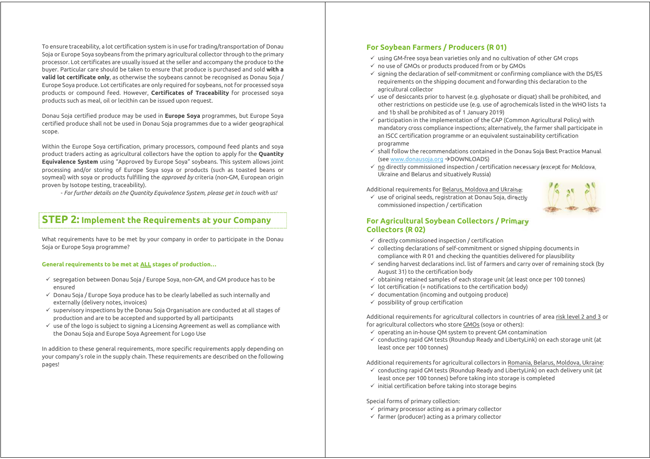To ensure traceability, a lot certification system is in use for trading/transportation of Donau Soja or Europe Soya soybeans from the primary agricultural collector through to the primary processor. Lot certificates are usually issued at the seller and accompany the produce to the buyer. Particular care should be taken to ensure that produce is purchased and sold **with a valid lot certificate only**, as otherwise the soybeans cannot be recognised as Donau Soja / Europe Soya produce. Lot certificates are only required for soybeans, not for processed soya products or compound feed. However, **Certificates of Traceability** for processed soya products such as meal, oil or lecithin can be issued upon request.

Donau Soja certified produce may be used in **Europe Soya** programmes, but Europe Soya certified produce shall not be used in Donau Soja programmes due to a wider geographical scope.

Within the Europe Soya certification, primary processors, compound feed plants and soya product traders acting as agricultural collectors have the option to apply for the **Quantity Equivalence System** using "Approved by Europe Soya" soybeans. This system allows joint processing and/or storing of Europe Soya soya or products (such as toasted beans or soymeal) with soya or products fulfilling the *approved by* criteria (non-GM, European origin proven by Isotope testing, traceability).

- *For further details on the Quantity Equivalence System, please get in touch with us!*

## **STEP 2: Implement the Requirements at your Company**

What requirements have to be met by your company in order to participate in the Donau Soja or Europe Soya programme?

#### **General requirements to be met at ALL stages of production…**

- $\checkmark$  segregation between Donau Soja / Europe Soya, non-GM, and GM produce has to be ensured
- $\checkmark$  Donau Soja / Europe Sova produce has to be clearly labelled as such internally and externally (delivery notes, invoices)
- $\checkmark$  supervisory inspections by the Donau Soja Organisation are conducted at all stages of production and are to be accepted and supported by all participants
- $\checkmark$  use of the logo is subject to signing a Licensing Agreement as well as compliance with the Donau Soja and Europe Soya Agreement for Logo Use

In addition to these general requirements, more specific requirements apply depending on your company's role in the supply chain. These requirements are described on the following pages!

## **For Soybean Farmers / Producers (R 01)**

- $\checkmark$  using GM-free soya bean varieties only and no cultivation of other GM crops
- $\checkmark$  no use of GMOs or products produced from or by GMOs
- $\checkmark$  signing the declaration of self-commitment or confirming compliance with the DS/ES requirements on the shipping document and forwarding this declaration to the agricultural collector
- $\checkmark$  use of desiccants prior to harvest (e.g. glyphosate or diquat) shall be prohibited, and other restrictions on pesticide use (e.g. use of agrochemicals listed in the WHO lists 1a and 1b shall be prohibited as of 1 January 2019)
- $\checkmark$  participation in the implementation of the CAP (Common Agricultural Policy) with mandatory cross compliance inspections; alternatively, the farmer shall participate in an ISCC certification programme or an equivalent sustainability certification programme
- $\checkmark$  shall follow the recommendations contained in the Donau Soja Best Practice Manual (see www.donausoja.org →DOWNLOADS)
- $\checkmark$  no directly commissioned inspection / certification necessary (except for Moldova, Ukraine and Belarus and situatively Russia)

Additional requirements for Belarus, Moldova and Ukraine:



#### $\checkmark$  use of original seeds, registration at Donau Soja, directly commissioned inspection / certification

#### **For Agricultural Soybean Collectors / Primary Collectors (R 02)**

- $\checkmark$  directly commissioned inspection / certification
- $\checkmark$  collecting declarations of self-commitment or signed shipping documents in compliance with R 01 and checking the quantities delivered for plausibility
- $\checkmark$  sending harvest declarations incl. list of farmers and carry over of remaining stock (by August 31) to the certification body
- $\checkmark$  obtaining retained samples of each storage unit (at least once per 100 tonnes)
- $\checkmark$  lot certification (+ notifications to the certification body)
- $\checkmark$  documentation (incoming and outgoing produce)
- $\checkmark$  possibility of group certification

Additional requirements for agricultural collectors in countries of area risk level 2 and 3 or for agricultural collectors who store GMOs (soya or others):

- $\checkmark$  operating an in-house QM system to prevent GM contamination
- $\checkmark$  conducting rapid GM tests (Roundup Ready and LibertyLink) on each storage unit (at least once per 100 tonnes)

Additional requirements for agricultural collectors in Romania, Belarus, Moldova, Ukraine:

- $\checkmark$  conducting rapid GM tests (Roundup Ready and LibertyLink) on each delivery unit (at least once per 100 tonnes) before taking into storage is completed
- $\checkmark$  initial certification before taking into storage begins

#### Special forms of primary collection:

- $\checkmark$  primary processor acting as a primary collector
- $\checkmark$  farmer (producer) acting as a primary collector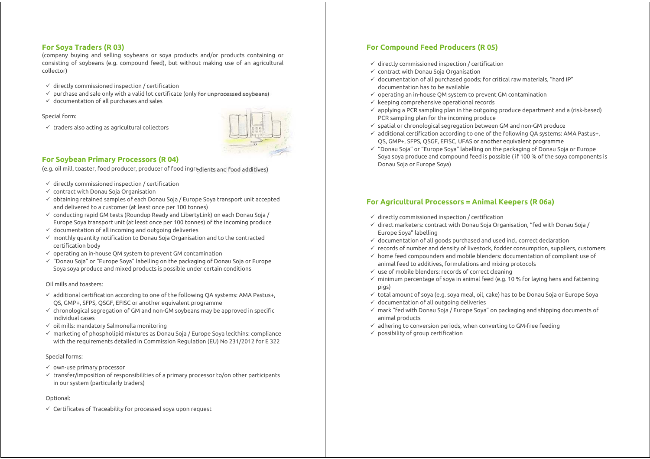## **For Soya Traders (R 03)**

(company buying and selling soybeans or soya products and/or products containing or consisting of soybeans (e.g. compound feed), but without making use of an agricultural collector)

- $\checkmark$  directly commissioned inspection / certification
- $\checkmark$  purchase and sale only with a valid lot certificate (only for unprocessed soybeans)
- $\checkmark$  documentation of all purchases and sales

#### Special form:

 $\checkmark$  traders also acting as agricultural collectors



## **For Soybean Primary Processors (R 04)**

(e.g. oil mill, toaster, food producer, producer of food ingredients and food additives)

- $\checkmark$  directly commissioned inspection / certification
- $\checkmark$  contract with Donau Soja Organisation
- $\checkmark$  obtaining retained samples of each Donau Soja / Europe Soya transport unit accepted and delivered to a customer (at least once per 100 tonnes)
- $\checkmark$  conducting rapid GM tests (Roundup Ready and LibertyLink) on each Donau Soja / Europe Soya transport unit (at least once per 100 tonnes) of the incoming produce
- $\checkmark$  documentation of all incoming and outgoing deliveries
- $\checkmark$  monthly quantity notification to Donau Soja Organisation and to the contracted certification body
- $\checkmark$  operating an in-house QM system to prevent GM contamination
- $\checkmark$  "Donau Soja" or "Europe Soya" labelling on the packaging of Donau Soja or Europe Soya soya produce and mixed products is possible under certain conditions

#### Oil mills and toasters:

- $\checkmark$  additional certification according to one of the following QA systems: AMA Pastus+, QS, GMP+, SFPS, QSGF, EFISC or another equivalent programme
- $\checkmark$  chronological segregation of GM and non-GM soybeans may be approved in specific individual cases
- $\checkmark$  oil mills: mandatory Salmonella monitoring
- $\checkmark$  marketing of phospholipid mixtures as Donau Soja / Europe Soya lecithins: compliance with the requirements detailed in Commission Regulation (EU) No 231/2012 for E 322

#### Special forms:

- $\checkmark$  own-use primary processor
- $\checkmark$  transfer/imposition of responsibilities of a primary processor to/on other participants in our system (particularly traders)

#### Optional:

 $\checkmark$  Certificates of Traceability for processed soya upon request

## **For Compound Feed Producers (R 05)**

- $\checkmark$  directly commissioned inspection / certification
- $\checkmark$  contract with Donau Soja Organisation
- $\checkmark$  documentation of all purchased goods; for critical raw materials, "hard IP" documentation has to be available
- $\checkmark$  operating an in-house OM system to prevent GM contamination
- $\checkmark$  keeping comprehensive operational records
- $\checkmark$  applying a PCR sampling plan in the outgoing produce department and a (risk-based) PCR sampling plan for the incoming produce
- $\checkmark$  spatial or chronological segregation between GM and non-GM produce
- $\checkmark$  additional certification according to one of the following QA systems: AMA Pastus+, QS, GMP+, SFPS, QSGF, EFISC, UFAS or another equivalent programme
- $\checkmark$  "Donau Soja" or "Europe Sova" labelling on the packaging of Donau Soja or Europe Soya soya produce and compound feed is possible ( if 100 % of the soya components is Donau Soja or Europe Soya)

## **For Agricultural Processors = Animal Keepers (R 06a)**

- $\checkmark$  directly commissioned inspection / certification
- $\checkmark$  direct marketers: contract with Donau Soja Organisation, "fed with Donau Soja / Europe Soya" labelling
- $\checkmark$  documentation of all goods purchased and used incl. correct declaration
- $\checkmark$  records of number and density of livestock, fodder consumption, suppliers, customers
- $\checkmark$  home feed compounders and mobile blenders: documentation of compliant use of animal feed to additives, formulations and mixing protocols
- $\checkmark$  use of mobile blenders: records of correct cleaning
- $\checkmark$  minimum percentage of soya in animal feed (e.g. 10 % for laying hens and fattening pigs)
- $\checkmark$  total amount of soya (e.g. soya meal, oil, cake) has to be Donau Soja or Europe Soya
- $\checkmark$  documentation of all outgoing deliveries
- $\checkmark$  mark "fed with Donau Soja / Europe Soya" on packaging and shipping documents of animal products
- $\checkmark$  adhering to conversion periods, when converting to GM-free feeding
- $\checkmark$  possibility of group certification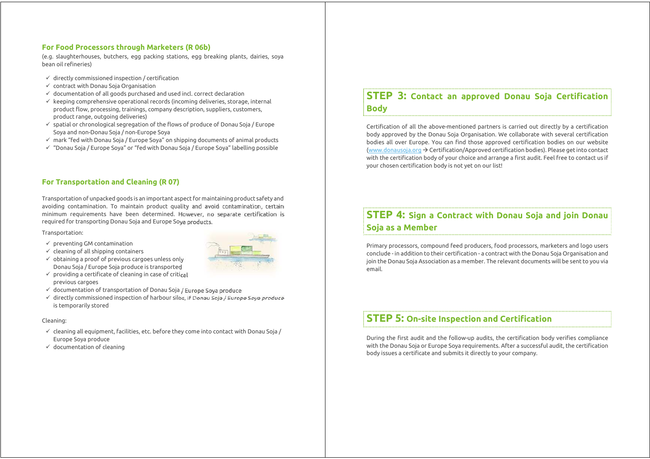## **For Food Processors through Marketers (R 06b)**

(e.g. slaughterhouses, butchers, egg packing stations, egg breaking plants, dairies, soya bean oil refineries)

- $\checkmark$  directly commissioned inspection / certification
- $\checkmark$  contract with Donau Soja Organisation
- $\checkmark$  documentation of all goods purchased and used incl. correct declaration
- $\checkmark$  keeping comprehensive operational records (incoming deliveries, storage, internal product flow, processing, trainings, company description, suppliers, customers, product range, outgoing deliveries)
- $\checkmark$  spatial or chronological segregation of the flows of produce of Donau Soja / Europe Soya and non-Donau Soja / non-Europe Soya
- $\checkmark$  mark "fed with Donau Soja / Europe Soya" on shipping documents of animal products
- $\checkmark$  "Donau Soja / Europe Sova" or "fed with Donau Soja / Europe Sova" labelling possible

## **For Transportation and Cleaning (R 07)**

Transportation of unpacked goods is an important aspect for maintaining product safety and avoiding contamination. To maintain product quality and avoid contamination, certain minimum requirements have been determined. However, no separate certification is required for transporting Donau Soja and Europe Soya products.

#### Transportation:

- $\checkmark$  preventing GM contamination
- $\checkmark$  cleaning of all shipping containers
- $\checkmark$  obtaining a proof of previous cargoes unless only Donau Soja / Europe Soja produce is transported
- $\checkmark$  providing a certificate of cleaning in case of critical previous cargoes
- $\checkmark$  documentation of transportation of Donau Soja / Europe Soya produce
- $\checkmark$  directly commissioned inspection of harbour silos, if Donau Soja / Europe Soya produce is temporarily stored

#### Cleaning:

- $\checkmark$  cleaning all equipment, facilities, etc. before they come into contact with Donau Soja / Europe Soya produce
- $\checkmark$  documentation of cleaning

# **STEP 3: Contact an approved Donau Soja Certification Body**

Certification of all the above-mentioned partners is carried out directly by a certification body approved by the Donau Soja Organisation. We collaborate with several certification bodies all over Europe. You can find those approved certification bodies on our website (www.donausoja.org  $\rightarrow$  Certification/Approved certification bodies). Please get into contact with the certification body of your choice and arrange a first audit. Feel free to contact us if your chosen certification body is not yet on our list!

# **STEP 4: Sign a Contract with Donau Soja and join Donau Soja as a Member**

Primary processors, compound feed producers, food processors, marketers and logo users conclude - in addition to their certification - a contract with the Donau Soja Organisation and join the Donau Soja Association as a member. The relevant documents will be sent to you via email.

## **STEP 5: On-site Inspection and Certification**

During the first audit and the follow-up audits, the certification body verifies compliance with the Donau Soja or Europe Soya requirements. After a successful audit, the certification body issues a certificate and submits it directly to your company.